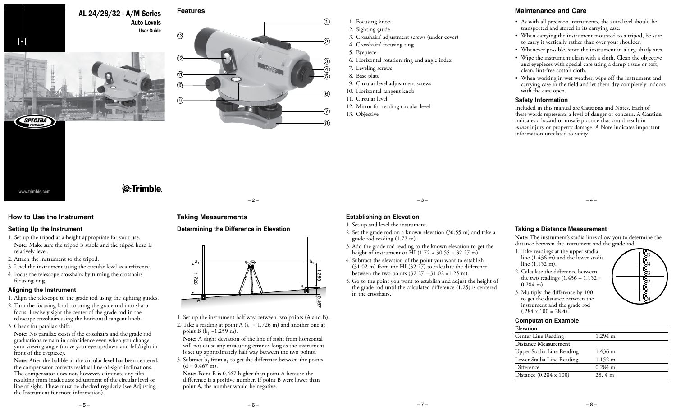

#### **Features** AL 24/28/32 - A/M Series

Auto Levels User Guide



- 1. Focusing knob
- 2. Sighting guide
- 03. Crosshairs' adjustment screws (under cover)
- 04. Crosshairs' focusing ring
- 05. Eyepiece
- 06. Horizontal rotation ring and angle index
- 07. Leveling screws
- 8. Base plate
- 09. Circular level adjustment screws
- 10. Horizontal tangent knob
- 11. Circular level
- 12. Mirror for reading circular level

13. Objective

#### **Maintenance and Care**

- As with all precision instruments, the auto level should be transported and stored in its carrying case.
- When carrying the instrument mounted to a tripod, be sure to carry it vertically rather than over your shoulder.
- Whenever possible, store the instrument in a dry, shady area.
- Wipe the instrument clean with a cloth. Clean the objective and eyepieces with special care using a damp tissue or soft, clean, lint-free cotton cloth.
- When working in wet weather, wipe off the instrument and carrying case in the field and let them dry completely indoors with the case open.

#### **Safety Information**

Included in this manual are **Cautions** and Notes. Each of these words represents a level of danger or concern. A **Caution** indicates a hazard or unsafe practice that could result in *minor* injury or property damage. A Note indicates important information unrelated to safety.

## *S*-Trimble

#### **How to Use the Instrument**

#### **Setting Up the Instrument**

www.trimble.com

**SPECTRA** 

- 1. Set up the tripod at a height appropriate for your use. **Note:** Make sure the tripod is stable and the tripod head is relatively level.
- 2. Attach the instrument to the tripod.
- 3. Level the instrument using the circular level as a reference.
- 4. Focus the telescope crosshairs by turning the crosshairs' focusing ring.

#### **Aligning the Instrument**

- 1. Align the telescope to the grade rod using the sighting guides.
- 2. Turn the focusing knob to bring the grade rod into sharp focus. Precisely sight the center of the grade rod in the telescope crosshairs using the horizontal tangent knob.
- 3. Check for parallax shift.

**Note:** No parallax exists if the crosshairs and the grade rod graduations remain in coincidence even when you change your viewing angle (move your eye up/down and left/right in front of the eyepiece).

**Note:** After the bubble in the circular level has been centered, the compensator corrects residual line-of-sight inclinations. The compensator does not, however, eliminate any tilts resulting from inadequate adjustment of the circular level or line of sight. These must be checked regularly (see Adjusting the Instrument for more information).

### **Taking Measurements**

#### **Determining the Difference in Elevation**



1. Set up the instrument half way between two points (A and B). 2. Take a reading at point A ( $a_1 = 1.726$  m) and another one at point B  $(b_1 = 1.259 \text{ m})$ .

**Note:** A slight deviation of the line of sight from horizontal will not cause any measuring error as long as the instrument is set up approximately half way between the two points.

3. Subtract  $b_1$  from  $a_1$  to get the difference between the points  $(d = 0.467$  m).

**Note:** Point B is 0.467 higher than point A because the difference is a positive number. If point B were lower than point A, the number would be negative.

 $-3-$  –  $-4-$ 

#### **Establishing an Elevation**

1. Set up and level the instrument.

- 2. Set the grade rod on a known elevation (30.55 m) and take a grade rod reading (1.72 m).
- 3. Add the grade rod reading to the known elevation to get the height of instrument or HI (1.72 + 30.55 = 32.27 m).

4. Subtract the elevation of the point you want to establish  $(31.02 \text{ m})$  from the HI  $(32.27)$  to calculate the difference between the two points (32.27 – 31.02 =1.25 m).

5. Go to the point you want to establish and adjust the height of the grade rod until the calculated difference (1.25) is centered in the crosshairs.

#### **Taking a Distance Measurement**

**Note:** The instrument's stadia lines allow you to determine the distance between the instrument and the grade rod.

- 1. Take readings at the upper stadia line (1.436 m) and the lower stadia line (1.152 m).
- 2. Calculate the difference between the two readings  $(1.436 - 1.152 =$ 0.284 m).

3. Multiply the difference by 100 to get the distance between the instrument and the grade rod  $(.284 \times 100 = 28.4).$ 

#### **Computation Example**

| Elevation                 |                       |
|---------------------------|-----------------------|
| Center Line Reading       | $1.294 \; \mathrm{m}$ |
| Distance Measurement      |                       |
| Upper Stadia Line Reading | 1.436 m               |
| Lower Stadia Line Reading | $1.152 \; m$          |
| Difference                | $0.284$ m             |
| Distance (0.284 x 100)    | 28.4 m                |



10